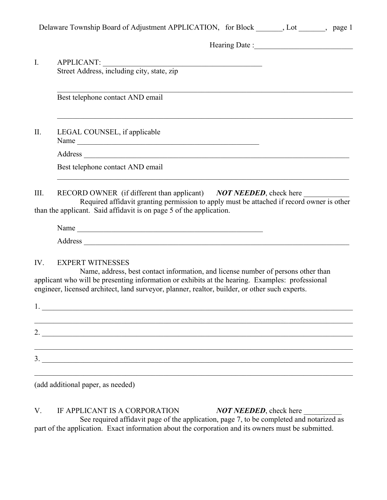|                | Delaware Township Board of Adjustment APPLICATION, for Block _______, Lot _______, page 1                                                                                                                                                                                                                         |
|----------------|-------------------------------------------------------------------------------------------------------------------------------------------------------------------------------------------------------------------------------------------------------------------------------------------------------------------|
|                |                                                                                                                                                                                                                                                                                                                   |
| $\mathbf{I}$ . | APPLICANT:<br>Street Address, including city, state, zip                                                                                                                                                                                                                                                          |
|                | Best telephone contact AND email                                                                                                                                                                                                                                                                                  |
| II.            | LEGAL COUNSEL, if applicable<br>Name                                                                                                                                                                                                                                                                              |
|                |                                                                                                                                                                                                                                                                                                                   |
|                | Best telephone contact AND email                                                                                                                                                                                                                                                                                  |
| III.           | RECORD OWNER (if different than applicant) NOT NEEDED, check here<br>Required affidavit granting permission to apply must be attached if record owner is other<br>than the applicant. Said affidavit is on page 5 of the application.                                                                             |
|                | Name                                                                                                                                                                                                                                                                                                              |
|                |                                                                                                                                                                                                                                                                                                                   |
| IV.            | <b>EXPERT WITNESSES</b><br>Name, address, best contact information, and license number of persons other than<br>applicant who will be presenting information or exhibits at the hearing. Examples: professional<br>engineer, licensed architect, land surveyor, planner, realtor, builder, or other such experts. |
|                |                                                                                                                                                                                                                                                                                                                   |
|                |                                                                                                                                                                                                                                                                                                                   |
| 2.             |                                                                                                                                                                                                                                                                                                                   |
| 3.             |                                                                                                                                                                                                                                                                                                                   |
|                |                                                                                                                                                                                                                                                                                                                   |

(add additional paper, as needed)

V. IF APPLICANT IS A CORPORATION *NOT NEEDED*, check here See required affidavit page of the application, page 7, to be completed and notarized as part of the application. Exact information about the corporation and its owners must be submitted.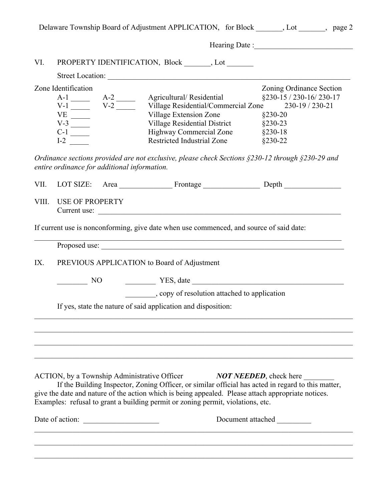|       |                                              |                 |                                                                                                                                                                                                                                                                                                                                                                    | Delaware Township Board of Adjustment APPLICATION, for Block _______, Lot _______, page 2                                                                                                                                      |  |  |
|-------|----------------------------------------------|-----------------|--------------------------------------------------------------------------------------------------------------------------------------------------------------------------------------------------------------------------------------------------------------------------------------------------------------------------------------------------------------------|--------------------------------------------------------------------------------------------------------------------------------------------------------------------------------------------------------------------------------|--|--|
|       |                                              |                 |                                                                                                                                                                                                                                                                                                                                                                    | Hearing Date : Management of the Contract of the Contract of the Contract of the Contract of the Contract of the Contract of the Contract of the Contract of the Contract of the Contract of the Contract of the Contract of t |  |  |
| VI.   |                                              |                 | PROPERTY IDENTIFICATION, Block _______, Lot _______                                                                                                                                                                                                                                                                                                                |                                                                                                                                                                                                                                |  |  |
|       |                                              |                 | Street Location:                                                                                                                                                                                                                                                                                                                                                   |                                                                                                                                                                                                                                |  |  |
|       | Zone Identification                          |                 | Village Extension Zone                                                                                                                                                                                                                                                                                                                                             | Zoning Ordinance Section<br>§230-15 / 230-16/ 230-17<br>$§230-20$                                                                                                                                                              |  |  |
|       | $I-2$                                        |                 | Village Residential District §230-23<br>Highway Commercial Zone §230-18<br><b>Restricted Industrial Zone</b>                                                                                                                                                                                                                                                       | $§230-22$                                                                                                                                                                                                                      |  |  |
|       | entire ordinance for additional information. |                 | Ordinance sections provided are not exclusive, please check Sections $\S$ 230-12 through $\S$ 230-29 and                                                                                                                                                                                                                                                           |                                                                                                                                                                                                                                |  |  |
| VII.  |                                              |                 | LOT SIZE: Area Frontage Depth                                                                                                                                                                                                                                                                                                                                      |                                                                                                                                                                                                                                |  |  |
| VIII. | <b>USE OF PROPERTY</b>                       |                 | Current use:                                                                                                                                                                                                                                                                                                                                                       |                                                                                                                                                                                                                                |  |  |
|       |                                              |                 | If current use is nonconforming, give date when use commenced, and source of said date:                                                                                                                                                                                                                                                                            |                                                                                                                                                                                                                                |  |  |
|       |                                              |                 |                                                                                                                                                                                                                                                                                                                                                                    |                                                                                                                                                                                                                                |  |  |
| IX.   |                                              |                 | PREVIOUS APPLICATION to Board of Adjustment                                                                                                                                                                                                                                                                                                                        |                                                                                                                                                                                                                                |  |  |
|       | $\overline{\phantom{1}}$ NO                  |                 | YES, date                                                                                                                                                                                                                                                                                                                                                          |                                                                                                                                                                                                                                |  |  |
|       |                                              |                 |                                                                                                                                                                                                                                                                                                                                                                    |                                                                                                                                                                                                                                |  |  |
|       |                                              |                 | If yes, state the nature of said application and disposition:                                                                                                                                                                                                                                                                                                      |                                                                                                                                                                                                                                |  |  |
|       |                                              |                 |                                                                                                                                                                                                                                                                                                                                                                    |                                                                                                                                                                                                                                |  |  |
|       |                                              |                 | ACTION, by a Township Administrative Officer NOT NEEDED, check here<br>If the Building Inspector, Zoning Officer, or similar official has acted in regard to this matter,<br>give the date and nature of the action which is being appealed. Please attach appropriate notices.<br>Examples: refusal to grant a building permit or zoning permit, violations, etc. |                                                                                                                                                                                                                                |  |  |
|       |                                              | Date of action: |                                                                                                                                                                                                                                                                                                                                                                    | Document attached                                                                                                                                                                                                              |  |  |
|       |                                              |                 |                                                                                                                                                                                                                                                                                                                                                                    |                                                                                                                                                                                                                                |  |  |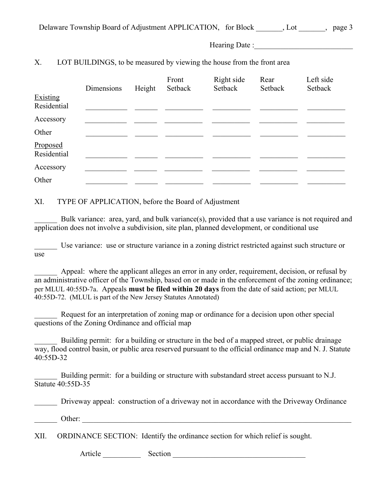| Delaware Township Board of Adjustment APPLICATION, for Block |  |  | page $3$ |
|--------------------------------------------------------------|--|--|----------|
|--------------------------------------------------------------|--|--|----------|

#### X. LOT BUILDINGS, to be measured by viewing the house from the front area

|                         | Dimensions | Height | Front<br>Setback | Right side<br>Setback | Rear<br>Setback | Left side<br>Setback |
|-------------------------|------------|--------|------------------|-----------------------|-----------------|----------------------|
| Existing<br>Residential |            |        |                  |                       |                 |                      |
| Accessory               |            |        |                  |                       |                 |                      |
| Other                   |            |        |                  |                       |                 |                      |
| Proposed<br>Residential |            |        |                  |                       |                 |                      |
| Accessory               |            |        |                  |                       |                 |                      |
| Other                   |            |        |                  |                       |                 |                      |

XI. TYPE OF APPLICATION, before the Board of Adjustment

Bulk variance: area, yard, and bulk variance(s), provided that a use variance is not required and application does not involve a subdivision, site plan, planned development, or conditional use

Use variance: use or structure variance in a zoning district restricted against such structure or use

Appeal: where the applicant alleges an error in any order, requirement, decision, or refusal by an administrative officer of the Township, based on or made in the enforcement of the zoning ordinance; per MLUL 40:55D-7a. Appeals **must be filed within 20 days** from the date of said action; per MLUL 40:55D-72. (MLUL is part of the New Jersey Statutes Annotated)

Request for an interpretation of zoning map or ordinance for a decision upon other special questions of the Zoning Ordinance and official map

Building permit: for a building or structure in the bed of a mapped street, or public drainage way, flood control basin, or public area reserved pursuant to the official ordinance map and N. J. Statute 40:55D-32

Building permit: for a building or structure with substandard street access pursuant to N.J. Statute 40:55D-35

Driveway appeal: construction of a driveway not in accordance with the Driveway Ordinance

Other:  $\Box$ 

XII. ORDINANCE SECTION: Identify the ordinance section for which relief is sought.

Article \_\_\_\_\_\_\_\_\_\_ Section \_\_\_\_\_\_\_\_\_\_\_\_\_\_\_\_\_\_\_\_\_\_\_\_\_\_\_\_\_\_\_\_\_\_\_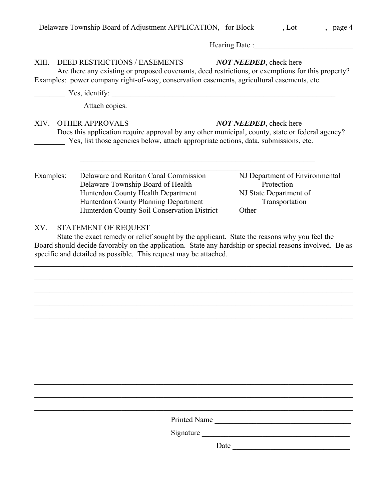|           | Hearing Date:                                                                                                                                                                                                                                                                                                                                               |
|-----------|-------------------------------------------------------------------------------------------------------------------------------------------------------------------------------------------------------------------------------------------------------------------------------------------------------------------------------------------------------------|
| XIII.     | DEED RESTRICTIONS / EASEMENTS<br><b>NOT NEEDED</b> , check here<br>Are there any existing or proposed covenants, deed restrictions, or exemptions for this property?<br>Examples: power company right-of-way, conservation easements, agricultural easements, etc.                                                                                          |
|           |                                                                                                                                                                                                                                                                                                                                                             |
|           | Attach copies.                                                                                                                                                                                                                                                                                                                                              |
|           | XIV. OTHER APPROVALS<br><b>NOT NEEDED</b> , check here<br>Does this application require approval by any other municipal, county, state or federal agency?<br>Yes, list those agencies below, attach appropriate actions, data, submissions, etc.                                                                                                            |
| Examples: | NJ Department of Environmental<br>Delaware and Raritan Canal Commission<br>Protection<br>Delaware Township Board of Health<br>NJ State Department of<br>Hunterdon County Health Department<br>Hunterdon County Planning Department<br>Transportation                                                                                                        |
|           | Hunterdon County Soil Conservation District<br>Other<br>STATEMENT OF REQUEST<br>State the exact remedy or relief sought by the applicant. State the reasons why you feel the<br>Board should decide favorably on the application. State any hardship or special reasons involved. Be as<br>specific and detailed as possible. This request may be attached. |
|           |                                                                                                                                                                                                                                                                                                                                                             |
|           |                                                                                                                                                                                                                                                                                                                                                             |
| XV.       |                                                                                                                                                                                                                                                                                                                                                             |
|           |                                                                                                                                                                                                                                                                                                                                                             |
|           |                                                                                                                                                                                                                                                                                                                                                             |
|           | Printed Name<br>Signature                                                                                                                                                                                                                                                                                                                                   |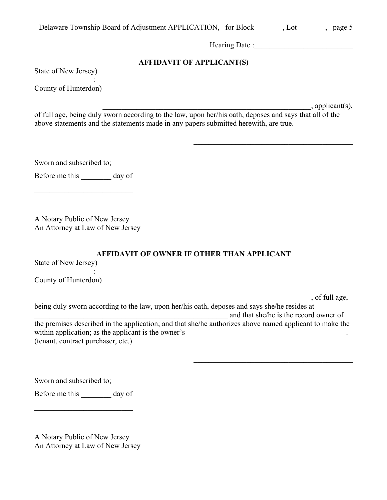| Delaware Township Board of Adjustment APPLICATION, for Block |  |  | , page $5$ |
|--------------------------------------------------------------|--|--|------------|
|--------------------------------------------------------------|--|--|------------|

 $\mathcal{L}_\text{max}$  and  $\mathcal{L}_\text{max}$  and  $\mathcal{L}_\text{max}$  and  $\mathcal{L}_\text{max}$  and  $\mathcal{L}_\text{max}$ 

### **AFFIDAVIT OF APPLICANT(S)**

State of New Jersey)

County of Hunterdon)

:

 $\Box$ , applicant(s),

of full age, being duly sworn according to the law, upon her/his oath, deposes and says that all of the above statements and the statements made in any papers submitted herewith, are true.

Sworn and subscribed to;

Before me this day of

A Notary Public of New Jersey An Attorney at Law of New Jersey

:

### **AFFIDAVIT OF OWNER IF OTHER THAN APPLICANT**

State of New Jersey)

County of Hunterdon)

 $\Box$ , of full age, being duly sworn according to the law, upon her/his oath, deposes and says she/he resides at and that she/he is the record owner of the premises described in the application; and that she/he authorizes above named applicant to make the within application; as the applicant is the owner's \_\_\_\_\_\_\_\_\_\_\_\_\_\_\_\_\_\_\_\_\_\_\_\_\_\_\_\_\_\_\_\_\_\_\_\_\_\_\_\_\_\_. (tenant, contract purchaser, etc.)

Sworn and subscribed to;

Before me this day of

A Notary Public of New Jersey An Attorney at Law of New Jersey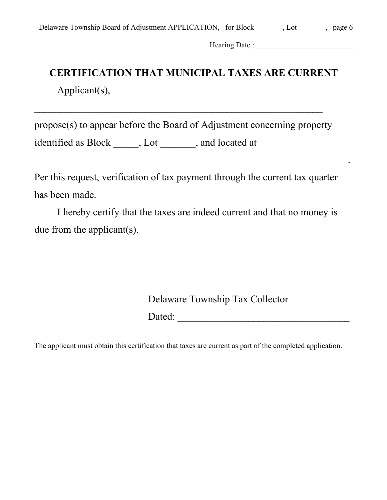|  |  | Delaware Township Board of Adjustment APPLICATION, for Block |  | , page $6$ |
|--|--|--------------------------------------------------------------|--|------------|
|  |  |                                                              |  |            |

\_\_\_\_\_\_\_\_\_\_\_\_\_\_\_\_\_\_\_\_\_\_\_\_\_\_\_\_\_\_\_\_\_\_\_\_\_\_\_\_\_\_\_\_\_\_\_\_\_\_\_\_\_\_\_\_\_\_\_\_\_\_.

# **CERTIFICATION THAT MUNICIPAL TAXES ARE CURRENT** Applicant(s),

propose(s) to appear before the Board of Adjustment concerning property identified as Block \_\_\_\_\_, Lot \_\_\_\_\_\_\_, and located at

Per this request, verification of tax payment through the current tax quarter has been made.

I hereby certify that the taxes are indeed current and that no money is due from the applicant(s).

Delaware Township Tax Collector

Dated: \_\_\_\_\_\_\_\_\_\_\_\_\_\_\_\_\_\_\_\_\_\_\_\_\_\_\_\_\_\_\_\_\_\_

The applicant must obtain this certification that taxes are current as part of the completed application.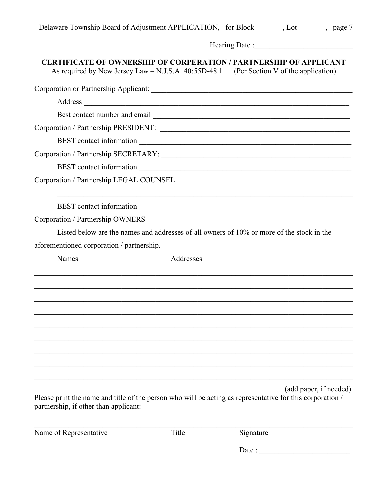|  |  | Delaware Township Board of Adjustment APPLICATION, for Block | t, page 7<br>Lot |  |
|--|--|--------------------------------------------------------------|------------------|--|
|  |  |                                                              |                  |  |

# **CERTIFICATE OF OWNERSHIP OF CORPERATION / PARTNERSHIP OF APPLICANT**

As required by New Jersey Law – N.J.S.A. 40:55D-48.1 (Per Section V of the application)

|                                           | Corporation / Partnership SECRETARY:                                                                                                |
|-------------------------------------------|-------------------------------------------------------------------------------------------------------------------------------------|
|                                           |                                                                                                                                     |
| Corporation / Partnership LEGAL COUNSEL   |                                                                                                                                     |
|                                           |                                                                                                                                     |
| Corporation / Partnership OWNERS          |                                                                                                                                     |
|                                           | Listed below are the names and addresses of all owners of 10% or more of the stock in the                                           |
| aforementioned corporation / partnership. |                                                                                                                                     |
| <b>Names</b>                              | Addresses                                                                                                                           |
|                                           |                                                                                                                                     |
|                                           |                                                                                                                                     |
|                                           |                                                                                                                                     |
|                                           |                                                                                                                                     |
|                                           |                                                                                                                                     |
|                                           |                                                                                                                                     |
|                                           |                                                                                                                                     |
|                                           | (add paper, if needed)<br>Please print the name and title of the person who will be acting as representative for this corporation / |

Name of Representative Title Signature

partnership, if other than applicant:

 $\mathcal{L}_\mathcal{L} = \mathcal{L}_\mathcal{L} = \mathcal{L}_\mathcal{L} = \mathcal{L}_\mathcal{L} = \mathcal{L}_\mathcal{L} = \mathcal{L}_\mathcal{L} = \mathcal{L}_\mathcal{L} = \mathcal{L}_\mathcal{L} = \mathcal{L}_\mathcal{L} = \mathcal{L}_\mathcal{L} = \mathcal{L}_\mathcal{L} = \mathcal{L}_\mathcal{L} = \mathcal{L}_\mathcal{L} = \mathcal{L}_\mathcal{L} = \mathcal{L}_\mathcal{L} = \mathcal{L}_\mathcal{L} = \mathcal{L}_\mathcal{L}$ 

Date :